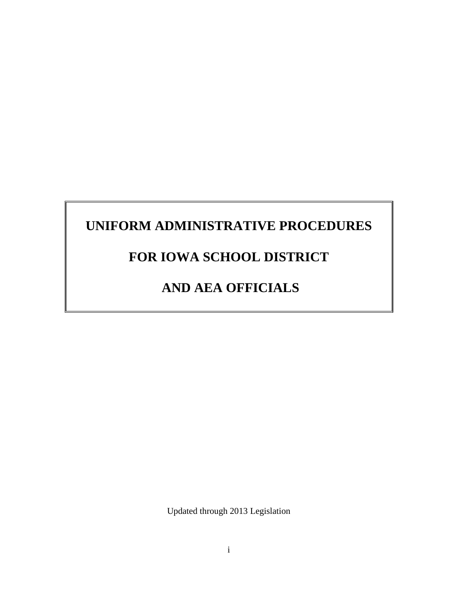## **UNIFORM ADMINISTRATIVE PROCEDURES**

### **FOR IOWA SCHOOL DISTRICT**

# **AND AEA OFFICIALS**

Updated through 2013 Legislation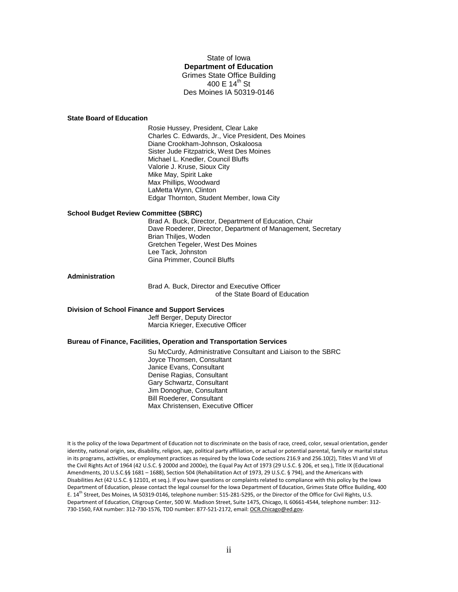State of Iowa **Department of Education** Grimes State Office Building 400 E  $14^{th}$  St Des Moines IA 50319-0146

#### **State Board of Education**

Rosie Hussey, President, Clear Lake Charles C. Edwards, Jr., Vice President, Des Moines Diane Crookham-Johnson, Oskaloosa Sister Jude Fitzpatrick, West Des Moines Michael L. Knedler, Council Bluffs Valorie J. Kruse, Sioux City Mike May, Spirit Lake Max Phillips, Woodward LaMetta Wynn, Clinton Edgar Thornton, Student Member, Iowa City

#### **School Budget Review Committee (SBRC)**

Brad A. Buck, Director, Department of Education, Chair Dave Roederer, Director, Department of Management, Secretary Brian Thiljes, Woden Gretchen Tegeler, West Des Moines Lee Tack, Johnston Gina Primmer, Council Bluffs

#### **Administration**

Brad A. Buck, Director and Executive Officer of the State Board of Education

#### **Division of School Finance and Support Services**

Jeff Berger, Deputy Director Marcia Krieger, Executive Officer

#### **Bureau of Finance, Facilities, Operation and Transportation Services**

Su McCurdy, Administrative Consultant and Liaison to the SBRC Joyce Thomsen, Consultant Janice Evans, Consultant Denise Ragias, Consultant Gary Schwartz, Consultant Jim Donoghue, Consultant Bill Roederer, Consultant Max Christensen, Executive Officer

It is the policy of the Iowa Department of Education not to discriminate on the basis of race, creed, color, sexual orientation, gender identity, national origin, sex, disability, religion, age, political party affiliation, or actual or potential parental, family or marital status in its programs, activities, or employment practices as required by the Iowa Code sections 216.9 and 256.10(2), Titles VI and VII of the Civil Rights Act of 1964 (42 U.S.C. § 2000d and 2000e), the Equal Pay Act of 1973 (29 U.S.C. § 206, et seq.), Title IX (Educational Amendments, 20 U.S.C.§§ 1681 – 1688), Section 504 (Rehabilitation Act of 1973, 29 U.S.C. § 794), and the Americans with Disabilities Act (42 U.S.C. § 12101, et seq.). If you have questions or complaints related to compliance with this policy by the Iowa Department of Education, please contact the legal counsel for the Iowa Department of Education, Grimes State Office Building, 400 E. 14<sup>th</sup> Street, Des Moines, IA 50319-0146, telephone number: 515-281-5295, or the Director of the Office for Civil Rights, U.S. Department of Education, Citigroup Center, 500 W. Madison Street, Suite 1475, Chicago, IL 60661-4544, telephone number: 312- 730-1560, FAX number: 312-730-1576, TDD number: 877-521-2172, email[: OCR.Chicago@ed.gov.](mailto:OCR.Chicago@ed.gov)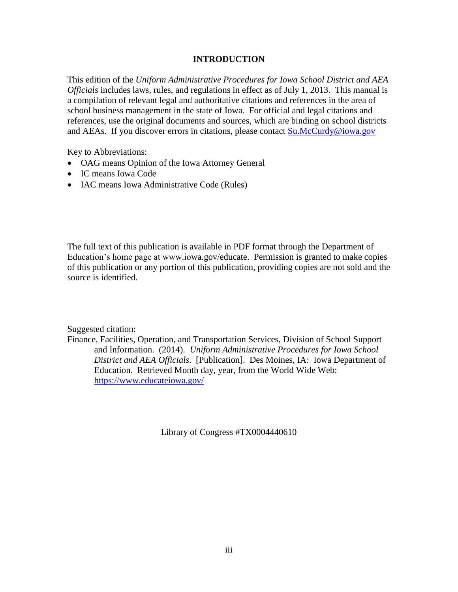### **INTRODUCTION**

This edition of the *Uniform Administrative Procedures for Iowa School District and AEA Officials* includes laws, rules, and regulations in effect as of July 1, 2013. This manual is a compilation of relevant legal and authoritative citations and references in the area of school business management in the state of Iowa. For official and legal citations and references, use the original documents and sources, which are binding on school districts and AEAs. If you discover errors in citations, please contact [Su.McCurdy@iowa.gov](mailto:Su.McCurdy@iowa.gov)

Key to Abbreviations:

- OAG means Opinion of the Iowa Attorney General
- IC means Iowa Code
- IAC means Iowa Administrative Code (Rules)

The full text of this publication is available in PDF format through the Department of Education's home page at www.iowa.gov/educate. Permission is granted to make copies of this publication or any portion of this publication, providing copies are not sold and the source is identified.

Suggested citation:

Finance, Facilities, Operation, and Transportation Services, Division of School Support and Information. (2014). *Uniform Administrative Procedures for Iowa School District and AEA Officials*. [Publication]. Des Moines, IA: Iowa Department of Education. Retrieved Month day, year, from the World Wide Web: https://www.educateiowa.gov/

Library of Congress #TX0004440610